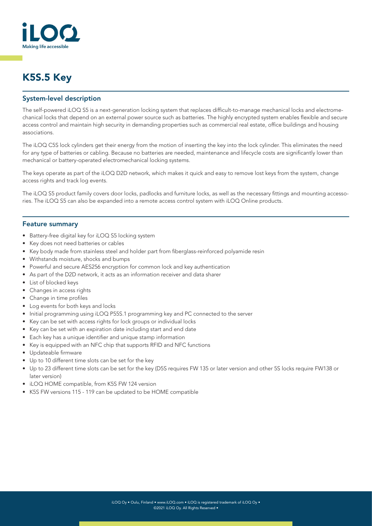

# K5S.5 Key

### System-level description

The self-powered iLOQ S5 is a next-generation locking system that replaces difficult-to-manage mechanical locks and electromechanical locks that depend on an external power source such as batteries. The highly encrypted system enables flexible and secure access control and maintain high security in demanding properties such as commercial real estate, office buildings and housing associations.

The iLOQ C5S lock cylinders get their energy from the motion of inserting the key into the lock cylinder. This eliminates the need for any type of batteries or cabling. Because no batteries are needed, maintenance and lifecycle costs are significantly lower than mechanical or battery-operated electromechanical locking systems.

The keys operate as part of the iLOQ D2D network, which makes it quick and easy to remove lost keys from the system, change access rights and track log events.

The iLOQ S5 product family covers door locks, padlocks and furniture locks, as well as the necessary fittings and mounting accessories. The iLOQ S5 can also be expanded into a remote access control system with iLOQ Online products.

#### Feature summary

- Battery-free digital key for iLOQ S5 locking system
- Key does not need batteries or cables
- Key body made from stainless steel and holder part from fiberglass-reinforced polyamide resin
- Withstands moisture, shocks and bumps
- Powerful and secure AES256 encryption for common lock and key authentication
- As part of the D2D network, it acts as an information receiver and data sharer
- List of blocked keys
- Changes in access rights
- Change in time profiles
- Log events for both keys and locks
- Initial programming using iLOQ P55S.1 programming key and PC connected to the server
- Key can be set with access rights for lock groups or individual locks
- Key can be set with an expiration date including start and end date
- Each key has a unique identifier and unique stamp information
- Key is equipped with an NFC chip that supports RFID and NFC functions
- Updateable firmware
- Up to 10 different time slots can be set for the key
- Up to 23 different time slots can be set for the key (D5S requires FW 135 or later version and other 5S locks require FW138 or later version)
- iLOQ HOME compatible, from K5S FW 124 version
- K5S FW versions 115 119 can be updated to be HOME compatible